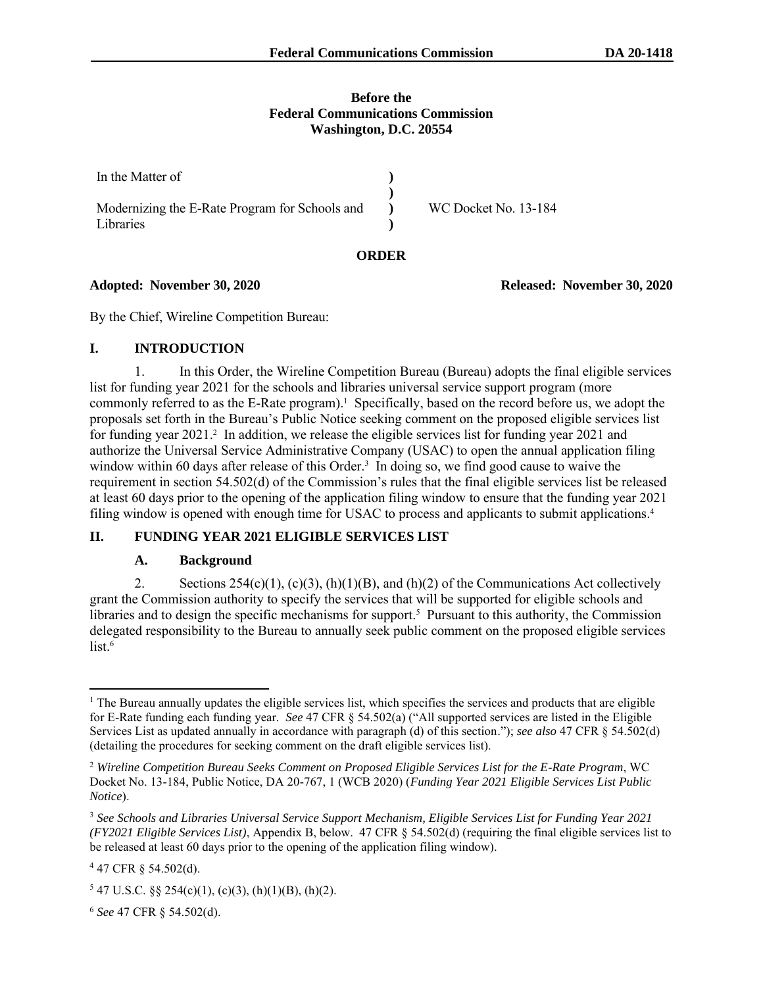#### **Before the Federal Communications Commission Washington, D.C. 20554**

**ORDER**

| In the Matter of                                                |                      |
|-----------------------------------------------------------------|----------------------|
| Modernizing the E-Rate Program for Schools and (b)<br>Libraries | WC Docket No. 13-184 |

**Adopted: November 30, 2020 Released: November 30, 2020**

By the Chief, Wireline Competition Bureau:

#### **I. INTRODUCTION**

1. In this Order, the Wireline Competition Bureau (Bureau) adopts the final eligible services list for funding year 2021 for the schools and libraries universal service support program (more commonly referred to as the E-Rate program).<sup>1</sup> Specifically, based on the record before us, we adopt the proposals set forth in the Bureau's Public Notice seeking comment on the proposed eligible services list for funding year 2021.<sup>2</sup> In addition, we release the eligible services list for funding year 2021 and authorize the Universal Service Administrative Company (USAC) to open the annual application filing window within 60 days after release of this Order.<sup>3</sup> In doing so, we find good cause to waive the requirement in section 54.502(d) of the Commission's rules that the final eligible services list be released at least 60 days prior to the opening of the application filing window to ensure that the funding year 2021 filing window is opened with enough time for USAC to process and applicants to submit applications.<sup>4</sup>

## **II. FUNDING YEAR 2021 ELIGIBLE SERVICES LIST**

#### **A. Background**

2. Sections  $254(c)(1)$ ,  $(c)(3)$ ,  $(h)(1)(B)$ , and  $(h)(2)$  of the Communications Act collectively grant the Commission authority to specify the services that will be supported for eligible schools and libraries and to design the specific mechanisms for support.<sup>5</sup> Pursuant to this authority, the Commission delegated responsibility to the Bureau to annually seek public comment on the proposed eligible services  $list.<sub>6</sub>$ 

<sup>6</sup> *See* 47 CFR § 54.502(d).

 $<sup>1</sup>$  The Bureau annually updates the eligible services list, which specifies the services and products that are eligible</sup> for E-Rate funding each funding year. *See* 47 CFR § 54.502(a) ("All supported services are listed in the Eligible Services List as updated annually in accordance with paragraph (d) of this section."); *see also* 47 CFR § 54.502(d) (detailing the procedures for seeking comment on the draft eligible services list).

<sup>2</sup> *Wireline Competition Bureau Seeks Comment on Proposed Eligible Services List for the E-Rate Program*, WC Docket No. 13-184, Public Notice, DA 20-767, 1 (WCB 2020) (*Funding Year 2021 Eligible Services List Public Notice*).

<sup>3</sup> *See Schools and Libraries Universal Service Support Mechanism, Eligible Services List for Funding Year 2021 (FY2021 Eligible Services List)*, Appendix B, below. 47 CFR § 54.502(d) (requiring the final eligible services list to be released at least 60 days prior to the opening of the application filing window).

 $447$  CFR § 54.502(d).

 $547$  U.S.C. §§ 254(c)(1), (c)(3), (h)(1)(B), (h)(2).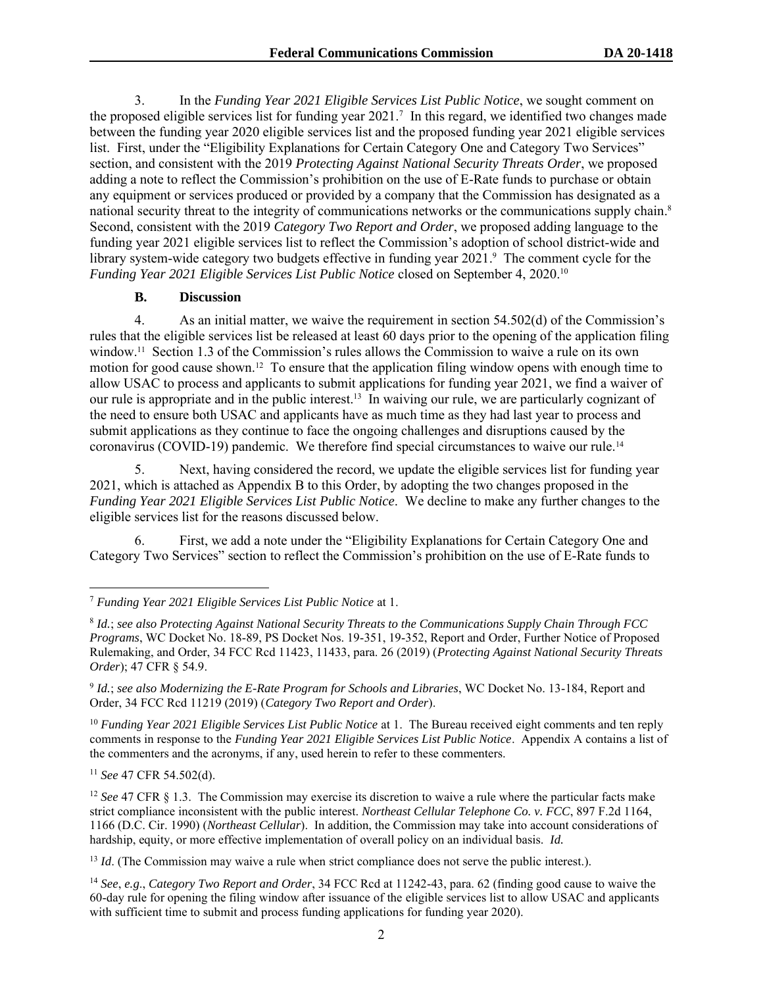3. In the *Funding Year 2021 Eligible Services List Public Notice*, we sought comment on the proposed eligible services list for funding year 2021.<sup>7</sup> In this regard, we identified two changes made between the funding year 2020 eligible services list and the proposed funding year 2021 eligible services list. First, under the "Eligibility Explanations for Certain Category One and Category Two Services" section, and consistent with the 2019 *Protecting Against National Security Threats Order*, we proposed adding a note to reflect the Commission's prohibition on the use of E-Rate funds to purchase or obtain any equipment or services produced or provided by a company that the Commission has designated as a national security threat to the integrity of communications networks or the communications supply chain. 8 Second, consistent with the 2019 *Category Two Report and Order*, we proposed adding language to the funding year 2021 eligible services list to reflect the Commission's adoption of school district-wide and library system-wide category two budgets effective in funding year 2021. <sup>9</sup> The comment cycle for the *Funding Year 2021 Eligible Services List Public Notice* closed on September 4, 2020.<sup>10</sup>

#### **B. Discussion**

4. As an initial matter, we waive the requirement in section 54.502(d) of the Commission's rules that the eligible services list be released at least 60 days prior to the opening of the application filing window.<sup>11</sup> Section 1.3 of the Commission's rules allows the Commission to waive a rule on its own motion for good cause shown.<sup>12</sup> To ensure that the application filing window opens with enough time to allow USAC to process and applicants to submit applications for funding year 2021, we find a waiver of our rule is appropriate and in the public interest.<sup>13</sup> In waiving our rule, we are particularly cognizant of the need to ensure both USAC and applicants have as much time as they had last year to process and submit applications as they continue to face the ongoing challenges and disruptions caused by the coronavirus (COVID-19) pandemic. We therefore find special circumstances to waive our rule.<sup>14</sup>

5. Next, having considered the record, we update the eligible services list for funding year 2021, which is attached as Appendix B to this Order, by adopting the two changes proposed in the *Funding Year 2021 Eligible Services List Public Notice*. We decline to make any further changes to the eligible services list for the reasons discussed below.

6. First, we add a note under the "Eligibility Explanations for Certain Category One and Category Two Services" section to reflect the Commission's prohibition on the use of E-Rate funds to

<sup>10</sup> Funding Year 2021 Eligible Services List Public Notice at 1. The Bureau received eight comments and ten reply comments in response to the *Funding Year 2021 Eligible Services List Public Notice*. Appendix A contains a list of the commenters and the acronyms, if any, used herein to refer to these commenters.

<sup>11</sup> *See* 47 CFR 54.502(d).

<sup>12</sup> See 47 CFR § 1.3. The Commission may exercise its discretion to waive a rule where the particular facts make strict compliance inconsistent with the public interest. *Northeast Cellular [Telephone](https://1.next.westlaw.com/Link/Document/FullText?findType=Y&serNum=1990047144&pubNum=350&originatingDoc=I95b9af8b51de11e287a9c52cdddac4f7&refType=RP&fi=co_pp_sp_350_1166&originationContext=document&transitionType=DocumentItem&contextData=(sc.Search)#co_pp_sp_350_1166) Co. v. FCC*, 897 F.2d 1164, 1166 (D.C. Cir. [1990\)](https://1.next.westlaw.com/Link/Document/FullText?findType=Y&serNum=1990047144&pubNum=350&originatingDoc=I95b9af8b51de11e287a9c52cdddac4f7&refType=RP&fi=co_pp_sp_350_1166&originationContext=document&transitionType=DocumentItem&contextData=(sc.Search)#co_pp_sp_350_1166) (*Northeast Cellular*). In addition, the Commission may take into account considerations of hardship, equity, or more effective implementation of overall policy on an individual basis. *Id.*

<sup>13</sup> *Id.* (The Commission may waive a rule when strict compliance does not serve the public interest.).

<sup>14</sup> *See*, *e.g*., *Category Two Report and Order*, 34 FCC Rcd at 11242-43, para. 62 (finding good cause to waive the 60-day rule for opening the filing window after issuance of the eligible services list to allow USAC and applicants with sufficient time to submit and process funding applications for funding year 2020).

<sup>7</sup> *Funding Year 2021 Eligible Services List Public Notice* at 1.

<sup>8</sup> *Id.*; *see also Protecting Against National Security Threats to the Communications Supply Chain Through FCC Programs*, WC Docket No. 18-89, PS Docket Nos. 19-351, 19-352, Report and Order, Further Notice of Proposed Rulemaking, and Order, 34 FCC Rcd 11423, 11433, para. 26 (2019) (*Protecting Against National Security Threats Order*); 47 CFR § 54.9.

<sup>9</sup> *Id.*; *see also Modernizing the E-Rate Program for Schools and Libraries*, WC Docket No. 13-184, Report and Order, 34 FCC Rcd 11219 (2019) (*Category Two Report and Order*).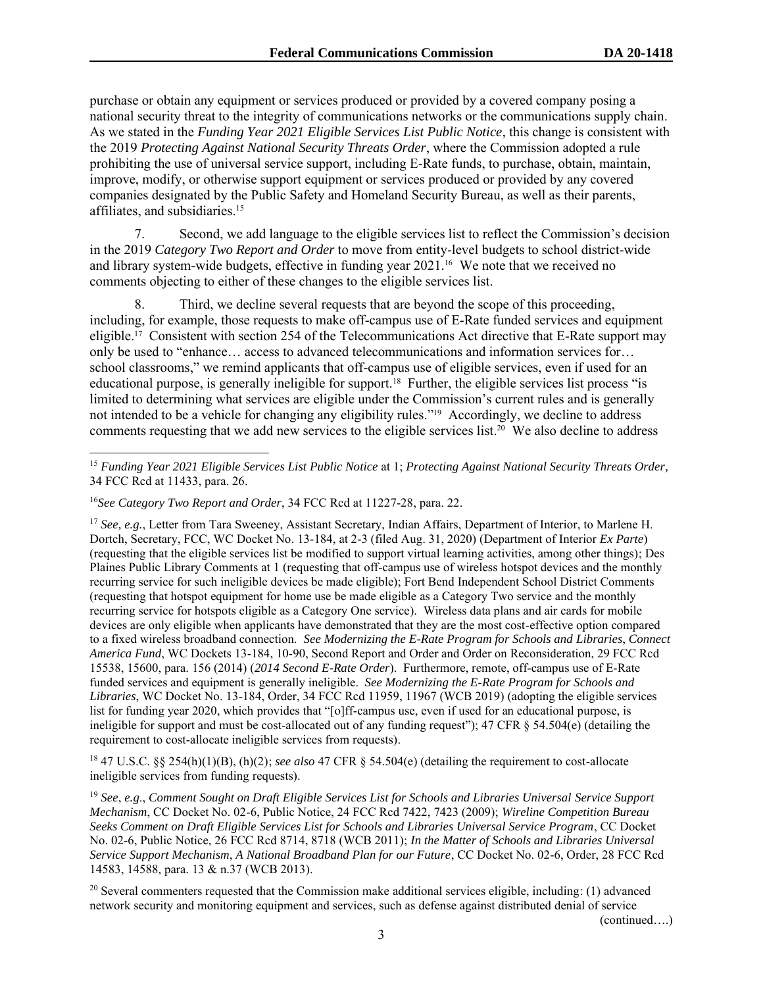purchase or obtain any equipment or services produced or provided by a covered company posing a national security threat to the integrity of communications networks or the communications supply chain. As we stated in the *Funding Year 2021 Eligible Services List Public Notice*, this change is consistent with the 2019 *Protecting Against National Security Threats Order*, where the Commission adopted a rule prohibiting the use of universal service support, including E-Rate funds, to purchase, obtain, maintain, improve, modify, or otherwise support equipment or services produced or provided by any covered companies designated by the Public Safety and Homeland Security Bureau, as well as their parents, affiliates, and subsidiaries. 15

7. Second, we add language to the eligible services list to reflect the Commission's decision in the 2019 *Category Two Report and Order* to move from entity-level budgets to school district-wide and library system-wide budgets, effective in funding year 2021.<sup>16</sup> We note that we received no comments objecting to either of these changes to the eligible services list.

8. Third, we decline several requests that are beyond the scope of this proceeding, including, for example, those requests to make off-campus use of E-Rate funded services and equipment eligible. 17 Consistent with section 254 of the Telecommunications Act directive that E-Rate support may only be used to "enhance… access to advanced telecommunications and information services for… school classrooms," we remind applicants that off-campus use of eligible services, even if used for an educational purpose, is generally ineligible for support.<sup>18</sup> Further, the eligible services list process "is limited to determining what services are eligible under the Commission's current rules and is generally not intended to be a vehicle for changing any eligibility rules."<sup>19</sup> Accordingly, we decline to address comments requesting that we add new services to the eligible services list. 20 We also decline to address

<sup>17</sup> *See, e.g.*, Letter from Tara Sweeney, Assistant Secretary, Indian Affairs, Department of Interior, to Marlene H. Dortch, Secretary, FCC, WC Docket No. 13-184, at 2-3 (filed Aug. 31, 2020) (Department of Interior *Ex Parte*) (requesting that the eligible services list be modified to support virtual learning activities, among other things); Des Plaines Public Library Comments at 1 (requesting that off-campus use of wireless hotspot devices and the monthly recurring service for such ineligible devices be made eligible); Fort Bend Independent School District Comments (requesting that hotspot equipment for home use be made eligible as a Category Two service and the monthly recurring service for hotspots eligible as a Category One service). Wireless data plans and air cards for mobile devices are only eligible when applicants have demonstrated that they are the most cost-effective option compared to a fixed wireless broadband connection. *See Modernizing the E-Rate Program for Schools and Libraries*, *Connect America Fund*, WC Dockets 13-184, 10-90, Second Report and Order and Order on Reconsideration, 29 FCC Rcd 15538, 15600, para. 156 (2014) (*2014 Second E-Rate Order*). Furthermore, remote, off-campus use of E-Rate funded services and equipment is generally ineligible. *See Modernizing the E-Rate Program for Schools and Libraries*, WC Docket No. 13-184, Order, 34 FCC Rcd 11959, 11967 (WCB 2019) (adopting the eligible services list for funding year 2020, which provides that "[o]ff-campus use, even if used for an educational purpose, is ineligible for support and must be cost-allocated out of any funding request"); 47 CFR § 54.504(e) (detailing the requirement to cost-allocate ineligible services from requests).

<sup>18</sup> 47 U.S.C. §§ 254(h)(1)(B), (h)(2); *see also* 47 CFR § 54.504(e) (detailing the requirement to cost-allocate ineligible services from funding requests).

<sup>19</sup> *See*, *e.g*., *Comment Sought on Draft Eligible Services List for Schools and Libraries Universal Service Support Mechanism*, CC Docket No. 02-6, Public Notice, 24 FCC Rcd 7422, 7423 (2009); *Wireline Competition Bureau Seeks Comment on Draft Eligible Services List for Schools and Libraries Universal Service Program*, CC Docket No. 02-6, Public Notice, 26 FCC Rcd 8714, 8718 (WCB 2011); *In the Matter of Schools and Libraries Universal Service Support Mechanism*, *A National Broadband Plan for our Future*, CC Docket No. 02-6, Order, 28 FCC Rcd 14583, 14588, para. 13 & n.37 (WCB 2013).

 $20$  Several commenters requested that the Commission make additional services eligible, including: (1) advanced network security and monitoring equipment and services, such as defense against distributed denial of service

(continued….)

<sup>15</sup> *Funding Year 2021 Eligible Services List Public Notice* at 1; *Protecting Against National Security Threats Order,* 34 FCC Rcd at 11433, para. 26.

<sup>16</sup>*See Category Two Report and Order*, 34 FCC Rcd at 11227-28, para. 22.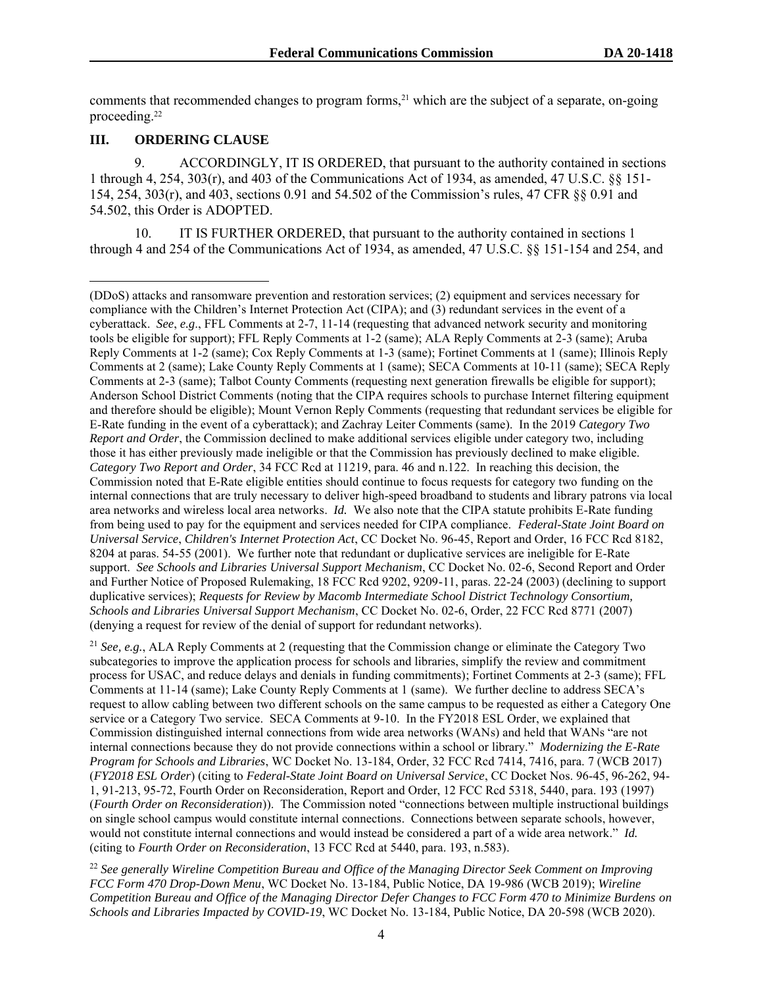comments that recommended changes to program forms, $^{21}$  which are the subject of a separate, on-going proceeding.<sup>22</sup>

#### **III. ORDERING CLAUSE**

9. ACCORDINGLY, IT IS ORDERED, that pursuant to the authority contained in sections 1 through 4, 254, 303(r), and 403 of the Communications Act of 1934, as amended, 47 U.S.C. §§ 151- 154, 254, 303(r), and 403, sections 0.91 and 54.502 of the Commission's rules, 47 CFR §§ 0.91 and 54.502, this Order is ADOPTED.

10. IT IS FURTHER ORDERED, that pursuant to the authority contained in sections 1 through 4 and 254 of the Communications Act of 1934, as amended, 47 U.S.C. §§ 151-154 and 254, and

<sup>21</sup> *See, e.g.*, ALA Reply Comments at 2 (requesting that the Commission change or eliminate the Category Two subcategories to improve the application process for schools and libraries, simplify the review and commitment process for USAC, and reduce delays and denials in funding commitments); Fortinet Comments at 2-3 (same); FFL Comments at 11-14 (same); Lake County Reply Comments at 1 (same). We further decline to address SECA's request to allow cabling between two different schools on the same campus to be requested as either a Category One service or a Category Two service. SECA Comments at 9-10. In the FY2018 ESL Order, we explained that Commission distinguished internal connections from wide area networks (WANs) and held that WANs "are not internal connections because they do not provide connections within a school or library." *Modernizing the E-Rate Program for Schools and Libraries*, WC Docket No. 13-184, Order, 32 FCC Rcd 7414, 7416, para. 7 (WCB 2017) (*FY2018 ESL Order*) (citing to *Federal-State Joint Board on Universal Service*, CC Docket Nos. 96-45, 96-262, 94- 1, 91-213, 95-72, Fourth Order on Reconsideration, Report and Order, 12 FCC Rcd 5318, 5440, para. 193 (1997) (*Fourth Order on Reconsideration*)). The Commission noted "connections between multiple instructional buildings on single school campus would constitute internal connections. Connections between separate schools, however, would not constitute internal connections and would instead be considered a part of a wide area network." *Id.* (citing to *Fourth Order on Reconsideration*, 13 FCC Rcd at 5440, para. 193, n.583).

<sup>22</sup> *See generally Wireline Competition Bureau and Office of the Managing Director Seek Comment on Improving FCC Form 470 Drop-Down Menu*, WC Docket No. 13-184, Public Notice, DA 19-986 (WCB 2019); *Wireline Competition Bureau and Office of the Managing Director Defer Changes to FCC Form 470 to Minimize Burdens on Schools and Libraries Impacted by COVID-19*, WC Docket No. 13-184, Public Notice, DA 20-598 (WCB 2020).

<sup>(</sup>DDoS) attacks and ransomware prevention and restoration services; (2) equipment and services necessary for compliance with the Children's Internet Protection Act (CIPA); and (3) redundant services in the event of a cyberattack. *See*, *e.g*., FFL Comments at 2-7, 11-14 (requesting that advanced network security and monitoring tools be eligible for support); FFL Reply Comments at 1-2 (same); ALA Reply Comments at 2-3 (same); Aruba Reply Comments at 1-2 (same); Cox Reply Comments at 1-3 (same); Fortinet Comments at 1 (same); Illinois Reply Comments at 2 (same); Lake County Reply Comments at 1 (same); SECA Comments at 10-11 (same); SECA Reply Comments at 2-3 (same); Talbot County Comments (requesting next generation firewalls be eligible for support); Anderson School District Comments (noting that the CIPA requires schools to purchase Internet filtering equipment and therefore should be eligible); Mount Vernon Reply Comments (requesting that redundant services be eligible for E-Rate funding in the event of a cyberattack); and Zachray Leiter Comments (same). In the 2019 *Category Two Report and Order*, the Commission declined to make additional services eligible under category two, including those it has either previously made ineligible or that the Commission has previously declined to make eligible. *Category Two Report and Order*, 34 FCC Rcd at 11219, para. 46 and n.122. In reaching this decision, the Commission noted that E-Rate eligible entities should continue to focus requests for category two funding on the internal connections that are truly necessary to deliver high-speed broadband to students and library patrons via local area networks and wireless local area networks. *Id.* We also note that the CIPA statute prohibits E-Rate funding from being used to pay for the equipment and services needed for CIPA compliance. *Federal-State Joint Board on Universal Service*, *Children's Internet Protection Act*, CC Docket No. 96-45, Report and Order, 16 FCC Rcd 8182, 8204 at paras. 54-55 (2001). We further note that redundant or duplicative services are ineligible for E-Rate support. *See Schools and Libraries Universal Support Mechanism*, CC Docket No. 02-6, Second Report and Order and Further Notice of Proposed Rulemaking, 18 FCC Rcd 9202, 9209-11, paras. 22-24 (2003) (declining to support duplicative services); *Requests for Review by Macomb Intermediate School District Technology Consortium, Schools and Libraries Universal Support Mechanism*, CC Docket No. 02-6, Order, 22 FCC Rcd 8771 (2007) (denying a request for review of the denial of support for redundant networks).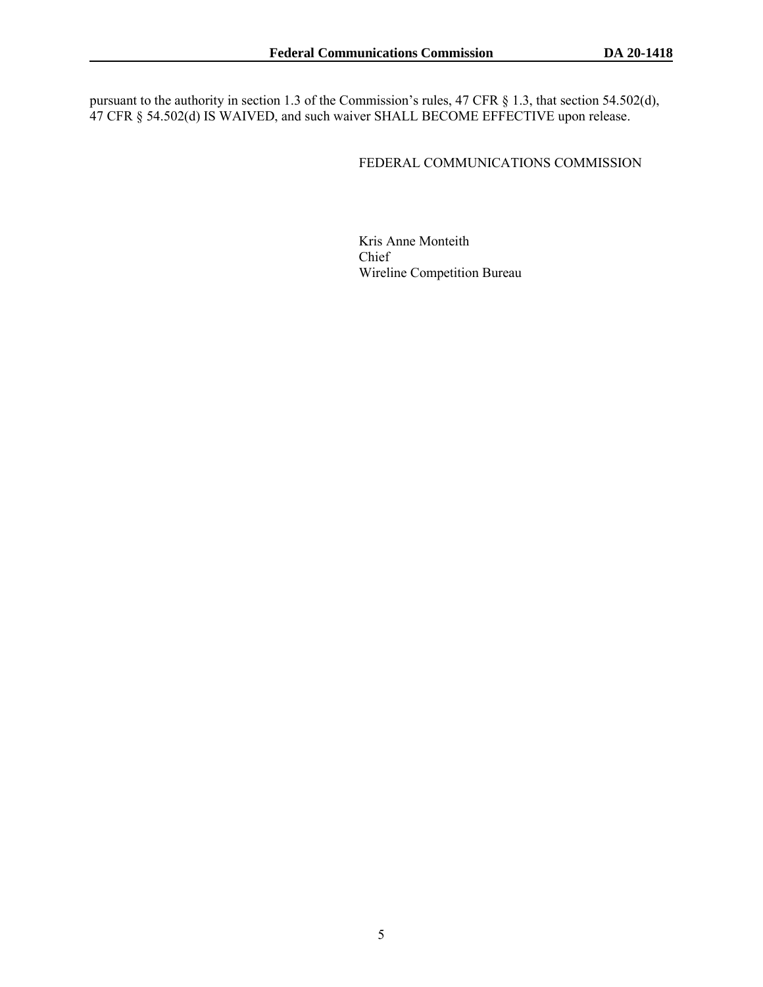pursuant to the authority in section 1.3 of the Commission's rules, 47 CFR § 1.3, that section 54.502(d), 47 CFR § 54.502(d) IS WAIVED, and such waiver SHALL BECOME EFFECTIVE upon release.

#### FEDERAL COMMUNICATIONS COMMISSION

Kris Anne Monteith Chief Wireline Competition Bureau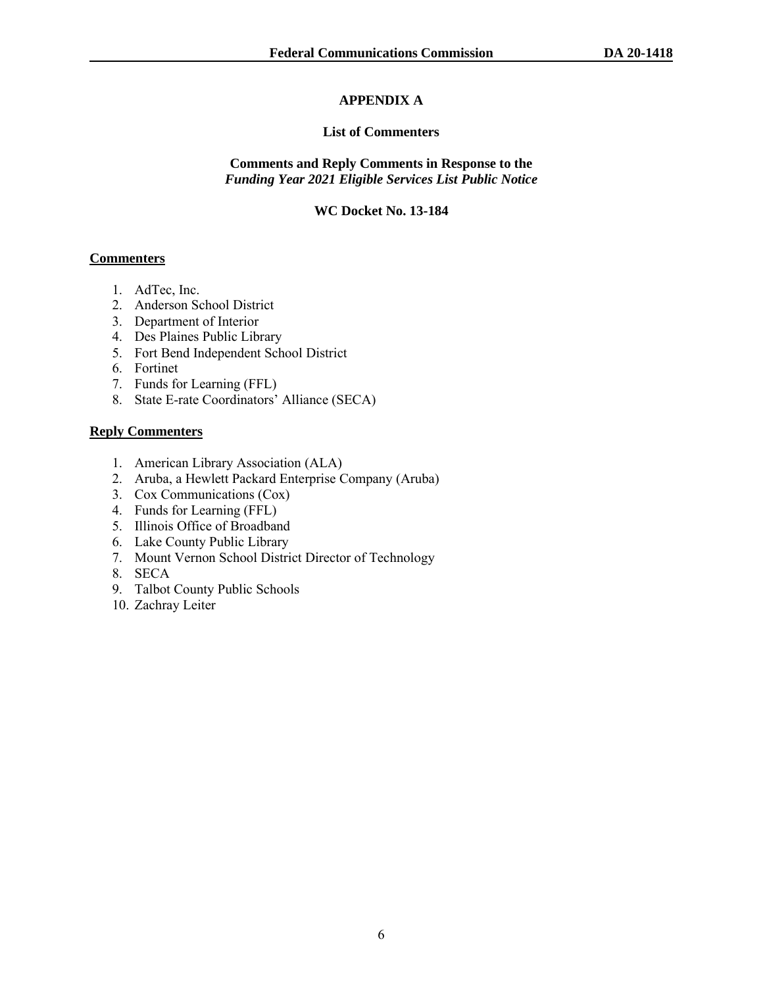# **APPENDIX A**

### **List of Commenters**

#### **Comments and Reply Comments in Response to the** *Funding Year 2021 Eligible Services List Public Notice*

#### **WC Docket No. 13-184**

#### **Commenters**

- 1. AdTec, Inc.
- 2. Anderson School District
- 3. Department of Interior
- 4. Des Plaines Public Library
- 5. Fort Bend Independent School District
- 6. Fortinet
- 7. Funds for Learning (FFL)
- 8. State E-rate Coordinators' Alliance (SECA)

## **Reply Commenters**

- 1. American Library Association (ALA)
- 2. Aruba, a Hewlett Packard Enterprise Company (Aruba)
- 3. Cox Communications (Cox)
- 4. Funds for Learning (FFL)
- 5. Illinois Office of Broadband
- 6. Lake County Public Library
- 7. Mount Vernon School District Director of Technology
- 8. SECA
- 9. Talbot County Public Schools
- 10. Zachray Leiter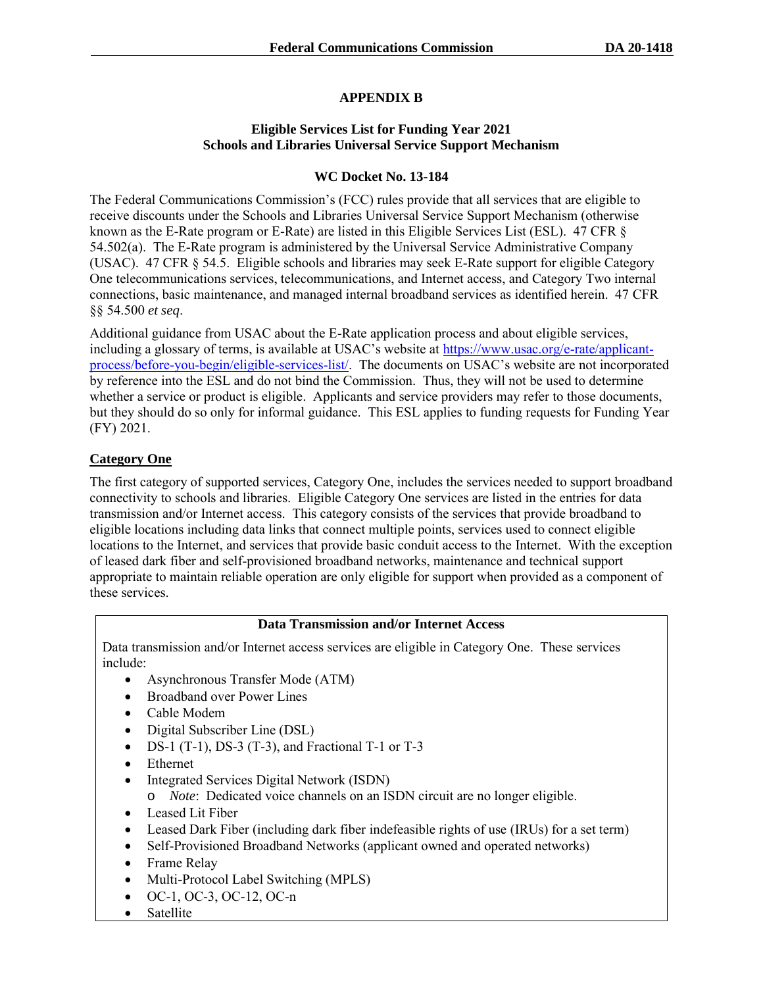## **APPENDIX B**

#### **Eligible Services List for Funding Year 2021 Schools and Libraries Universal Service Support Mechanism**

#### **WC Docket No. 13-184**

The Federal Communications Commission's (FCC) rules provide that all services that are eligible to receive discounts under the Schools and Libraries Universal Service Support Mechanism (otherwise known as the E-Rate program or E-Rate) are listed in this Eligible Services List (ESL). 47 CFR § 54.502(a). The E-Rate program is administered by the Universal Service Administrative Company (USAC). 47 CFR § 54.5. Eligible schools and libraries may seek E-Rate support for eligible Category One telecommunications services, telecommunications, and Internet access, and Category Two internal connections, basic maintenance, and managed internal broadband services as identified herein. 47 CFR §§ 54.500 *et seq*.

Additional guidance from USAC about the E-Rate application process and about eligible services, including a glossary of terms, is available at USAC's website at [https://www.usac.org/e-rate/applicant](https://www.usac.org/e-rate/applicant-process/before-you-begin/eligible-services-list/)[process/before-you-begin/eligible-services-list/.](https://www.usac.org/e-rate/applicant-process/before-you-begin/eligible-services-list/) The documents on USAC's website are not incorporated by reference into the ESL and do not bind the Commission. Thus, they will not be used to determine whether a service or product is eligible. Applicants and service providers may refer to those documents, but they should do so only for informal guidance. This ESL applies to funding requests for Funding Year (FY) 2021.

## **Category One**

The first category of supported services, Category One, includes the services needed to support broadband connectivity to schools and libraries. Eligible Category One services are listed in the entries for data transmission and/or Internet access. This category consists of the services that provide broadband to eligible locations including data links that connect multiple points, services used to connect eligible locations to the Internet, and services that provide basic conduit access to the Internet. With the exception of leased dark fiber and self-provisioned broadband networks, maintenance and technical support appropriate to maintain reliable operation are only eligible for support when provided as a component of these services.

#### **Data Transmission and/or Internet Access**

Data transmission and/or Internet access services are eligible in Category One. These services include:

- Asynchronous Transfer Mode (ATM)
- Broadband over Power Lines
- Cable Modem
- Digital Subscriber Line (DSL)
- DS-1 (T-1), DS-3 (T-3), and Fractional T-1 or T-3
- Ethernet
- Integrated Services Digital Network (ISDN)
	- o *Note*: Dedicated voice channels on an ISDN circuit are no longer eligible.
- Leased Lit Fiber
- Leased Dark Fiber (including dark fiber indefeasible rights of use (IRUs) for a set term)
- Self-Provisioned Broadband Networks (applicant owned and operated networks)
- Frame Relay
- Multi-Protocol Label Switching (MPLS)
- OC-1, OC-3, OC-12, OC-n
- **Satellite**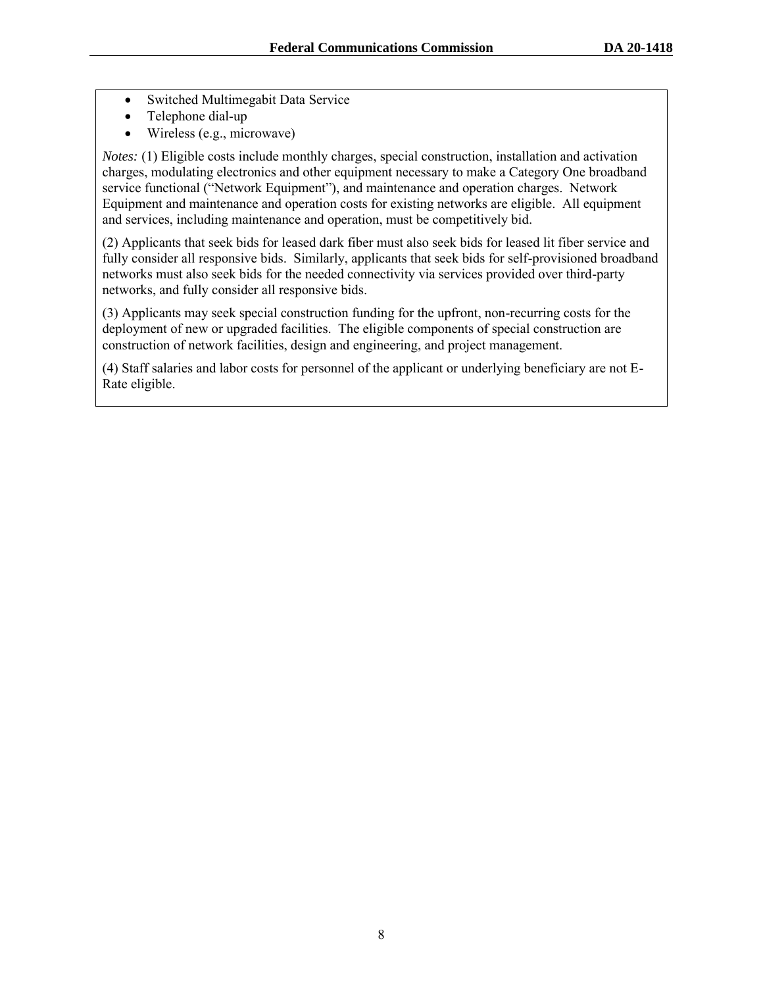- Switched Multimegabit Data Service
- Telephone dial-up
- Wireless (e.g., microwave)

*Notes:* (1) Eligible costs include monthly charges, special construction, installation and activation charges, modulating electronics and other equipment necessary to make a Category One broadband service functional ("Network Equipment"), and maintenance and operation charges. Network Equipment and maintenance and operation costs for existing networks are eligible. All equipment and services, including maintenance and operation, must be competitively bid.

(2) Applicants that seek bids for leased dark fiber must also seek bids for leased lit fiber service and fully consider all responsive bids. Similarly, applicants that seek bids for self-provisioned broadband networks must also seek bids for the needed connectivity via services provided over third-party networks, and fully consider all responsive bids.

(3) Applicants may seek special construction funding for the upfront, non-recurring costs for the deployment of new or upgraded facilities. The eligible components of special construction are construction of network facilities, design and engineering, and project management.

(4) Staff salaries and labor costs for personnel of the applicant or underlying beneficiary are not E-Rate eligible.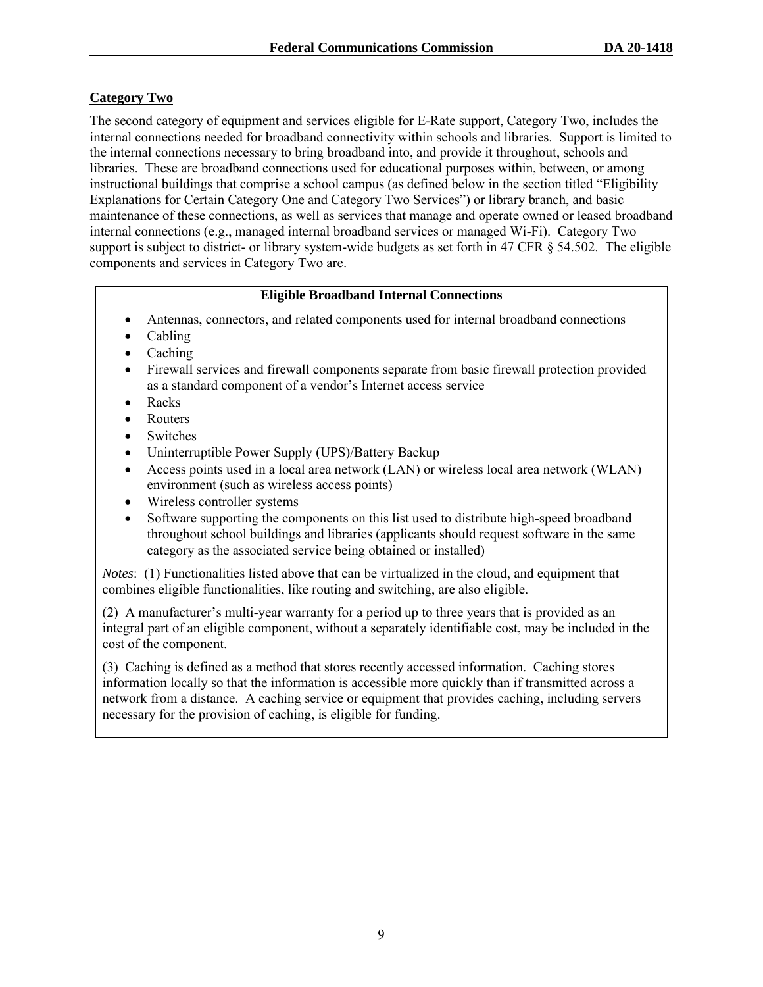## **Category Two**

The second category of equipment and services eligible for E-Rate support, Category Two, includes the internal connections needed for broadband connectivity within schools and libraries. Support is limited to the internal connections necessary to bring broadband into, and provide it throughout, schools and libraries. These are broadband connections used for educational purposes within, between, or among instructional buildings that comprise a school campus (as defined below in the section titled "Eligibility Explanations for Certain Category One and Category Two Services") or library branch, and basic maintenance of these connections, as well as services that manage and operate owned or leased broadband internal connections (e.g., managed internal broadband services or managed Wi-Fi). Category Two support is subject to district- or library system-wide budgets as set forth in 47 CFR § 54.502. The eligible components and services in Category Two are.

#### **Eligible Broadband Internal Connections**

- Antennas, connectors, and related components used for internal broadband connections
- Cabling
- Caching
- Firewall services and firewall components separate from basic firewall protection provided as a standard component of a vendor's Internet access service
- Racks
- Routers
- **Switches**
- Uninterruptible Power Supply (UPS)/Battery Backup
- Access points used in a local area network (LAN) or wireless local area network (WLAN) environment (such as wireless access points)
- Wireless controller systems
- Software supporting the components on this list used to distribute high-speed broadband throughout school buildings and libraries (applicants should request software in the same category as the associated service being obtained or installed)

*Notes*: (1) Functionalities listed above that can be virtualized in the cloud, and equipment that combines eligible functionalities, like routing and switching, are also eligible.

(2) A manufacturer's multi-year warranty for a period up to three years that is provided as an integral part of an eligible component, without a separately identifiable cost, may be included in the cost of the component.

(3) Caching is defined as a method that stores recently accessed information. Caching stores information locally so that the information is accessible more quickly than if transmitted across a network from a distance. A caching service or equipment that provides caching, including servers necessary for the provision of caching, is eligible for funding.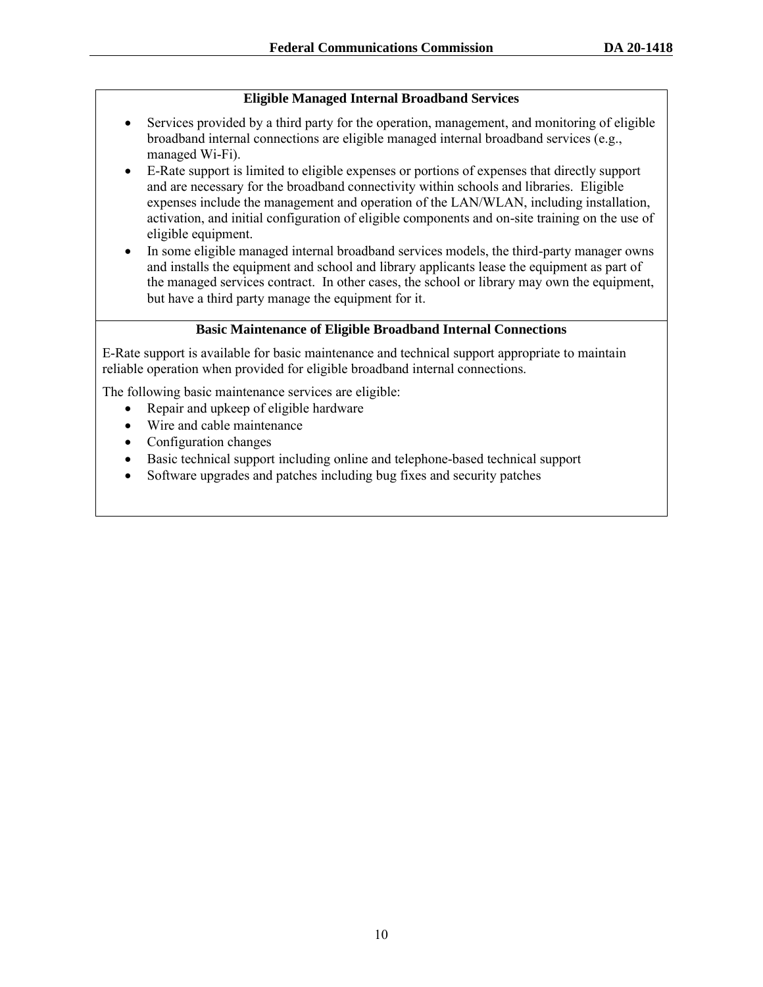### **Eligible Managed Internal Broadband Services**

- Services provided by a third party for the operation, management, and monitoring of eligible broadband internal connections are eligible managed internal broadband services (e.g., managed Wi-Fi).
- E-Rate support is limited to eligible expenses or portions of expenses that directly support and are necessary for the broadband connectivity within schools and libraries. Eligible expenses include the management and operation of the LAN/WLAN, including installation, activation, and initial configuration of eligible components and on-site training on the use of eligible equipment.
- In some eligible managed internal broadband services models, the third-party manager owns and installs the equipment and school and library applicants lease the equipment as part of the managed services contract. In other cases, the school or library may own the equipment, but have a third party manage the equipment for it.

#### **Basic Maintenance of Eligible Broadband Internal Connections**

E-Rate support is available for basic maintenance and technical support appropriate to maintain reliable operation when provided for eligible broadband internal connections.

The following basic maintenance services are eligible:

- Repair and upkeep of eligible hardware
- Wire and cable maintenance
- Configuration changes
- Basic technical support including online and telephone-based technical support
- Software upgrades and patches including bug fixes and security patches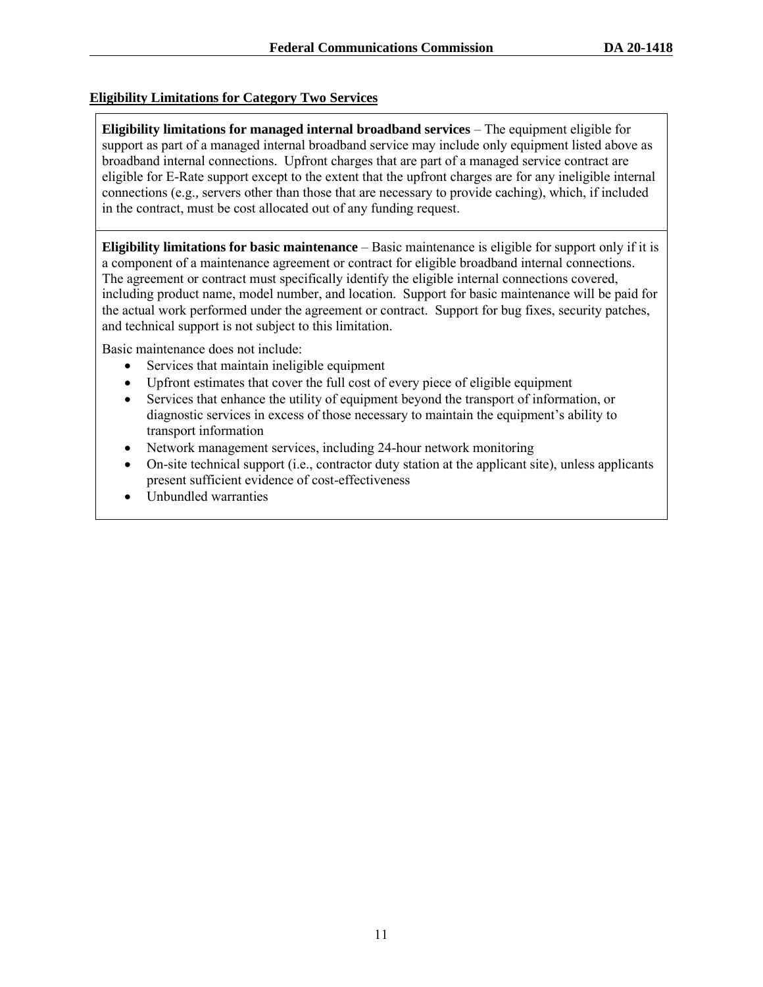#### **Eligibility Limitations for Category Two Services**

**Eligibility limitations for managed internal broadband services** – The equipment eligible for support as part of a managed internal broadband service may include only equipment listed above as broadband internal connections. Upfront charges that are part of a managed service contract are eligible for E-Rate support except to the extent that the upfront charges are for any ineligible internal connections (e.g.*,* servers other than those that are necessary to provide caching), which, if included in the contract, must be cost allocated out of any funding request.

**Eligibility limitations for basic maintenance** – Basic maintenance is eligible for support only if it is a component of a maintenance agreement or contract for eligible broadband internal connections. The agreement or contract must specifically identify the eligible internal connections covered, including product name, model number, and location. Support for basic maintenance will be paid for the actual work performed under the agreement or contract. Support for bug fixes, security patches, and technical support is not subject to this limitation.

Basic maintenance does not include:

- Services that maintain ineligible equipment
- Upfront estimates that cover the full cost of every piece of eligible equipment
- Services that enhance the utility of equipment beyond the transport of information, or diagnostic services in excess of those necessary to maintain the equipment's ability to transport information
- Network management services, including 24-hour network monitoring
- On-site technical support (i.e., contractor duty station at the applicant site), unless applicants present sufficient evidence of cost-effectiveness
- Unbundled warranties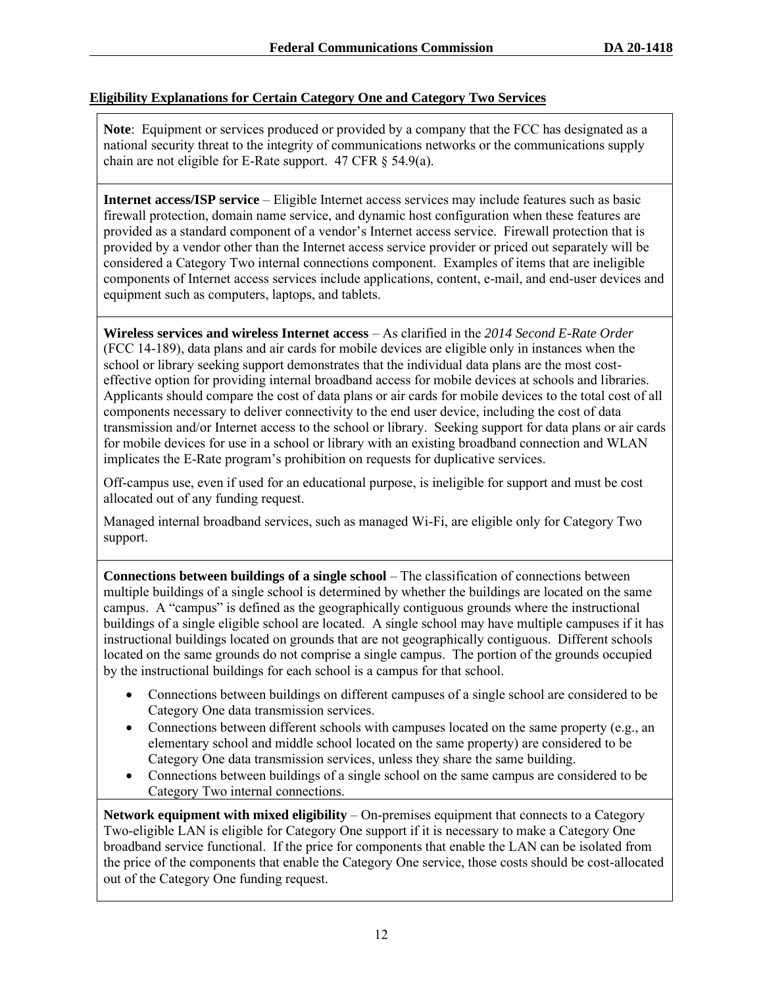#### **Eligibility Explanations for Certain Category One and Category Two Services**

**Note**: Equipment or services produced or provided by a company that the FCC has designated as a national security threat to the integrity of communications networks or the communications supply chain are not eligible for E-Rate support. 47 CFR § 54.9(a).

**Internet access/ISP service** – Eligible Internet access services may include features such as basic firewall protection, domain name service, and dynamic host configuration when these features are provided as a standard component of a vendor's Internet access service. Firewall protection that is provided by a vendor other than the Internet access service provider or priced out separately will be considered a Category Two internal connections component. Examples of items that are ineligible components of Internet access services include applications, content, e-mail, and end-user devices and equipment such as computers, laptops, and tablets.

**Wireless services and wireless Internet access** – As clarified in the *2014 Second E-Rate Order* (FCC 14-189), data plans and air cards for mobile devices are eligible only in instances when the school or library seeking support demonstrates that the individual data plans are the most costeffective option for providing internal broadband access for mobile devices at schools and libraries. Applicants should compare the cost of data plans or air cards for mobile devices to the total cost of all components necessary to deliver connectivity to the end user device, including the cost of data transmission and/or Internet access to the school or library. Seeking support for data plans or air cards for mobile devices for use in a school or library with an existing broadband connection and WLAN implicates the E-Rate program's prohibition on requests for duplicative services.

Off-campus use, even if used for an educational purpose, is ineligible for support and must be cost allocated out of any funding request.

Managed internal broadband services, such as managed Wi-Fi, are eligible only for Category Two support.

**Connections between buildings of a single school** – The classification of connections between multiple buildings of a single school is determined by whether the buildings are located on the same campus. A "campus" is defined as the geographically contiguous grounds where the instructional buildings of a single eligible school are located. A single school may have multiple campuses if it has instructional buildings located on grounds that are not geographically contiguous. Different schools located on the same grounds do not comprise a single campus. The portion of the grounds occupied by the instructional buildings for each school is a campus for that school.

- Connections between buildings on different campuses of a single school are considered to be Category One data transmission services.
- Connections between different schools with campuses located on the same property (e.g., an elementary school and middle school located on the same property) are considered to be Category One data transmission services, unless they share the same building.
- Connections between buildings of a single school on the same campus are considered to be Category Two internal connections.

**Network equipment with mixed eligibility** – On-premises equipment that connects to a Category Two-eligible LAN is eligible for Category One support if it is necessary to make a Category One broadband service functional. If the price for components that enable the LAN can be isolated from the price of the components that enable the Category One service, those costs should be cost-allocated out of the Category One funding request.